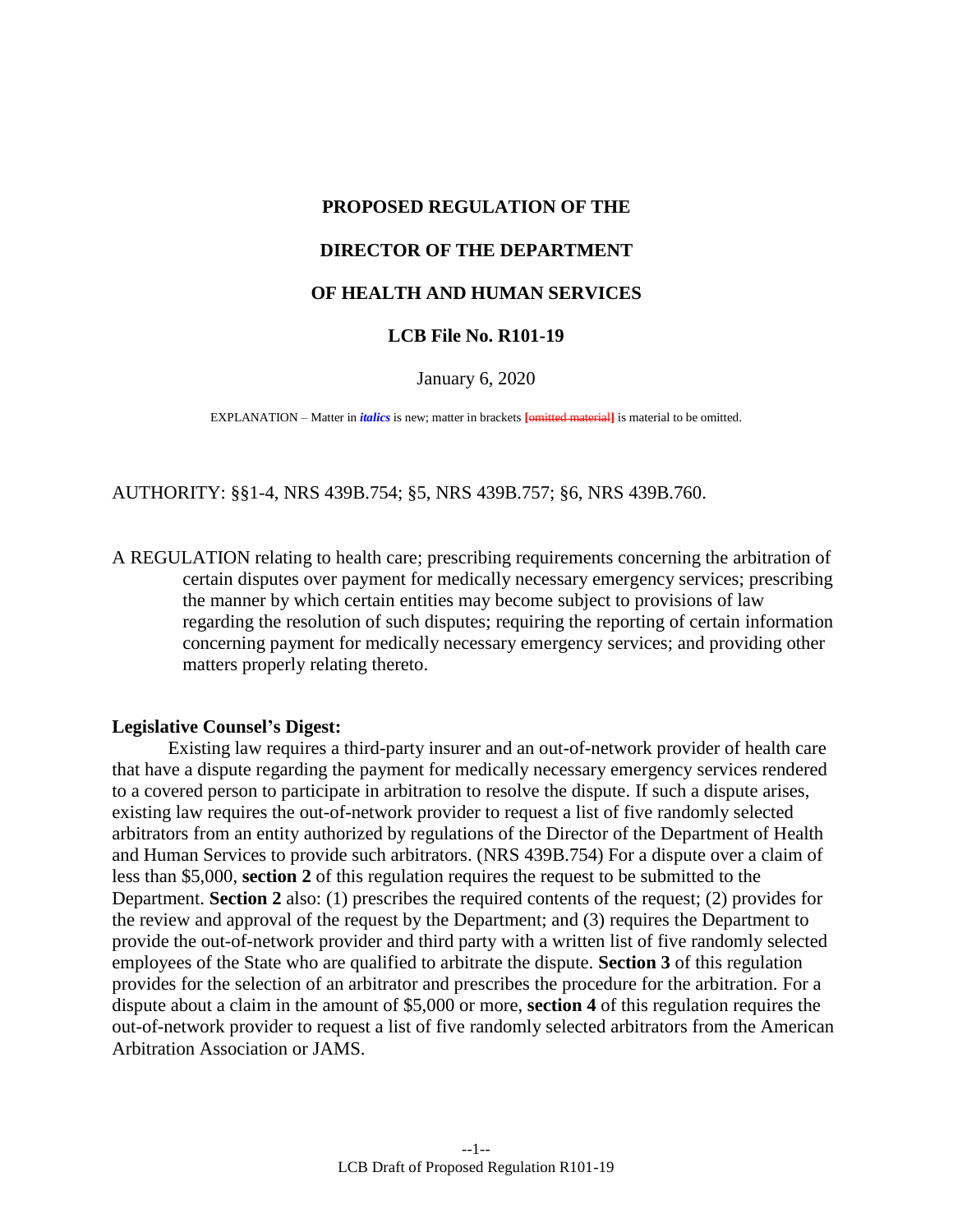## **PROPOSED REGULATION OF THE DIRECTOR OF THE DEPARTMENT**

## **OF HEALTH AND HUMAN SERVICES**

## **LCB File No. R101-19**

January 6, 2020

EXPLANATION – Matter in *italics* is new; matter in brackets **[**omitted material**]** is material to be omitted.

AUTHORITY: §[§1-](#page-1-0)[4,](#page-4-0) NRS 439B.754; [§5,](#page-5-0) NRS 439B.757; [§6,](#page-5-1) NRS 439B.760.

A REGULATION relating to health care; prescribing requirements concerning the arbitration of certain disputes over payment for medically necessary emergency services; prescribing the manner by which certain entities may become subject to provisions of law regarding the resolution of such disputes; requiring the reporting of certain information concerning payment for medically necessary emergency services; and providing other matters properly relating thereto.

## **Legislative Counsel's Digest:**

 Existing law requires a third-party insurer and an out-of-network provider of health care that have a dispute regarding the payment for medically necessary emergency services rendered to a covered person to participate in arbitration to resolve the dispute. If such a dispute arises, existing law requires the out-of-network provider to request a list of five randomly selected arbitrators from an entity authorized by regulations of the Director of the Department of Health and Human Services to provide such arbitrators. (NRS 439B.754) For a dispute over a claim of less than \$5,000, **section [2](#page-1-1)** of this regulation requires the request to be submitted to the Department. **Section [2](#page-1-1)** also: (1) prescribes the required contents of the request; (2) provides for the review and approval of the request by the Department; and (3) requires the Department to provide the out-of-network provider and third party with a written list of five randomly selected employees of the State who are qualified to arbitrate the dispute. **Section [3](#page-3-0)** of this regulation provides for the selection of an arbitrator and prescribes the procedure for the arbitration. For a dispute about a claim in the amount of \$5,000 or more, **section [4](#page-4-0)** of this regulation requires the out-of-network provider to request a list of five randomly selected arbitrators from the American Arbitration Association or JAMS.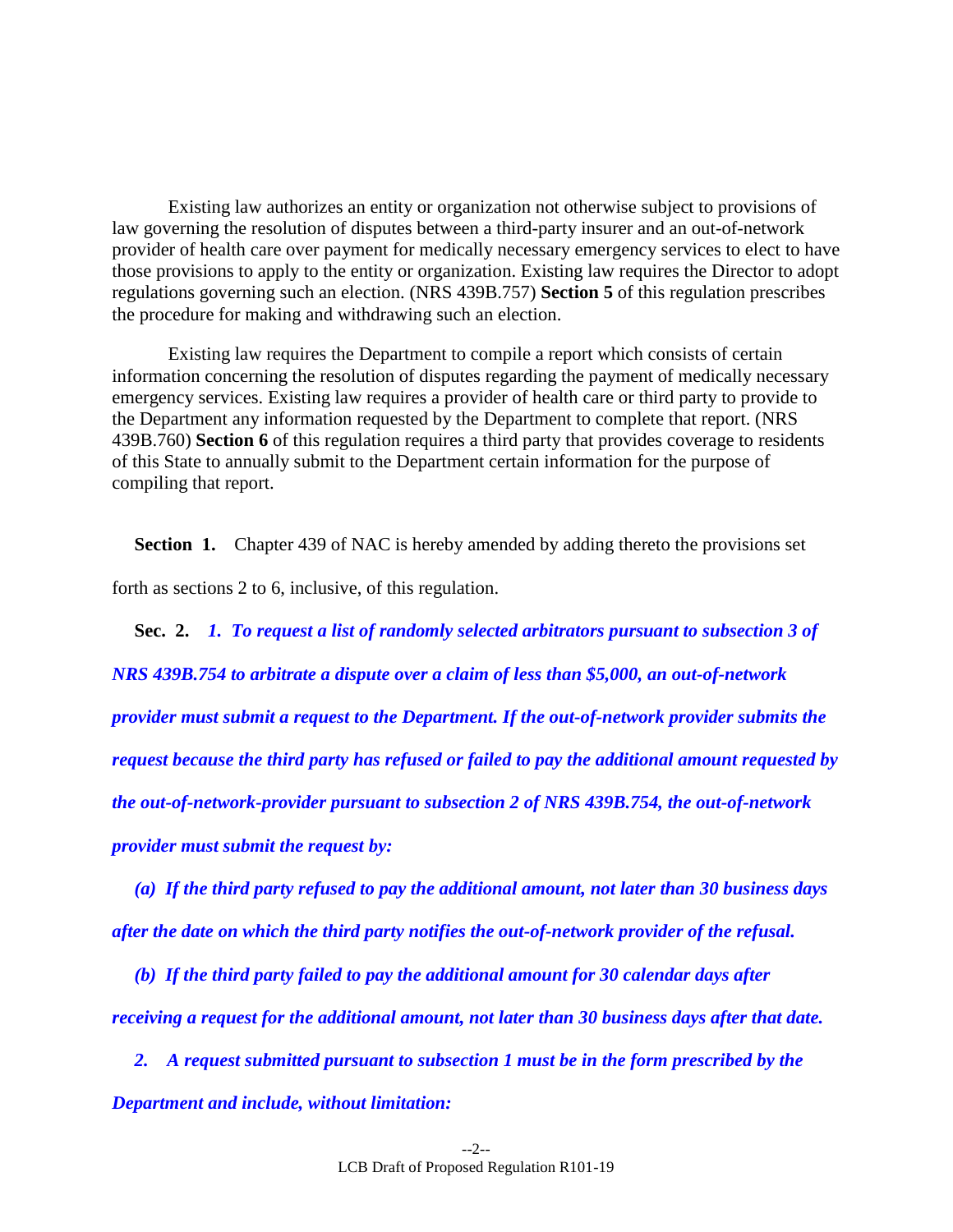Existing law authorizes an entity or organization not otherwise subject to provisions of law governing the resolution of disputes between a third-party insurer and an out-of-network provider of health care over payment for medically necessary emergency services to elect to have those provisions to apply to the entity or organization. Existing law requires the Director to adopt regulations governing such an election. (NRS 439B.757) **Section [5](#page-5-0)** of this regulation prescribes the procedure for making and withdrawing such an election.

 Existing law requires the Department to compile a report which consists of certain information concerning the resolution of disputes regarding the payment of medically necessary emergency services. Existing law requires a provider of health care or third party to provide to the Department any information requested by the Department to complete that report. (NRS 439B.760) **Section [6](#page-5-1)** of this regulation requires a third party that provides coverage to residents of this State to annually submit to the Department certain information for the purpose of compiling that report.

<span id="page-1-0"></span>**Section 1.** Chapter 439 of NAC is hereby amended by adding thereto the provisions set

forth as sections [2](#page-1-1) to [6,](#page-5-1) inclusive, of this regulation.

<span id="page-1-1"></span>**Sec. 2.** *1. To request a list of randomly selected arbitrators pursuant to subsection 3 of NRS 439B.754 to arbitrate a dispute over a claim of less than \$5,000, an out-of-network provider must submit a request to the Department. If the out-of-network provider submits the request because the third party has refused or failed to pay the additional amount requested by the out-of-network-provider pursuant to subsection 2 of NRS 439B.754, the out-of-network provider must submit the request by:* 

 *(a) If the third party refused to pay the additional amount, not later than 30 business days after the date on which the third party notifies the out-of-network provider of the refusal.* 

 *(b) If the third party failed to pay the additional amount for 30 calendar days after receiving a request for the additional amount, not later than 30 business days after that date.*

 *2. A request submitted pursuant to subsection 1 must be in the form prescribed by the Department and include, without limitation:*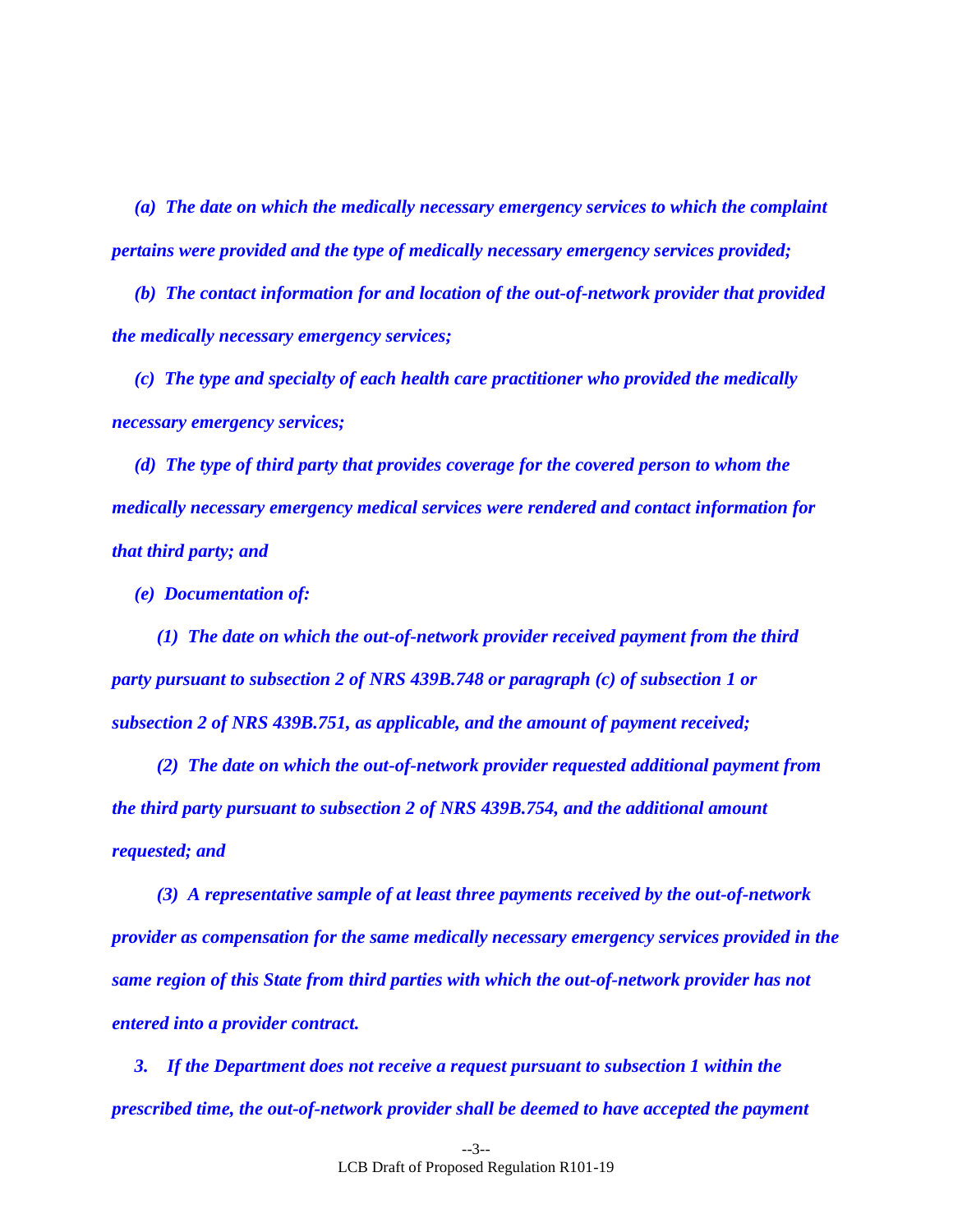*(a) The date on which the medically necessary emergency services to which the complaint pertains were provided and the type of medically necessary emergency services provided;* 

 *(b) The contact information for and location of the out-of-network provider that provided the medically necessary emergency services;* 

 *(c) The type and specialty of each health care practitioner who provided the medically necessary emergency services;* 

 *(d) The type of third party that provides coverage for the covered person to whom the medically necessary emergency medical services were rendered and contact information for that third party; and* 

 *(e) Documentation of:* 

 *(1) The date on which the out-of-network provider received payment from the third party pursuant to subsection 2 of NRS 439B.748 or paragraph (c) of subsection 1 or subsection 2 of NRS 439B.751, as applicable, and the amount of payment received;* 

 *(2) The date on which the out-of-network provider requested additional payment from the third party pursuant to subsection 2 of NRS 439B.754, and the additional amount requested; and* 

 *(3) A representative sample of at least three payments received by the out-of-network provider as compensation for the same medically necessary emergency services provided in the same region of this State from third parties with which the out-of-network provider has not entered into a provider contract.* 

 *3. If the Department does not receive a request pursuant to subsection 1 within the prescribed time, the out-of-network provider shall be deemed to have accepted the payment*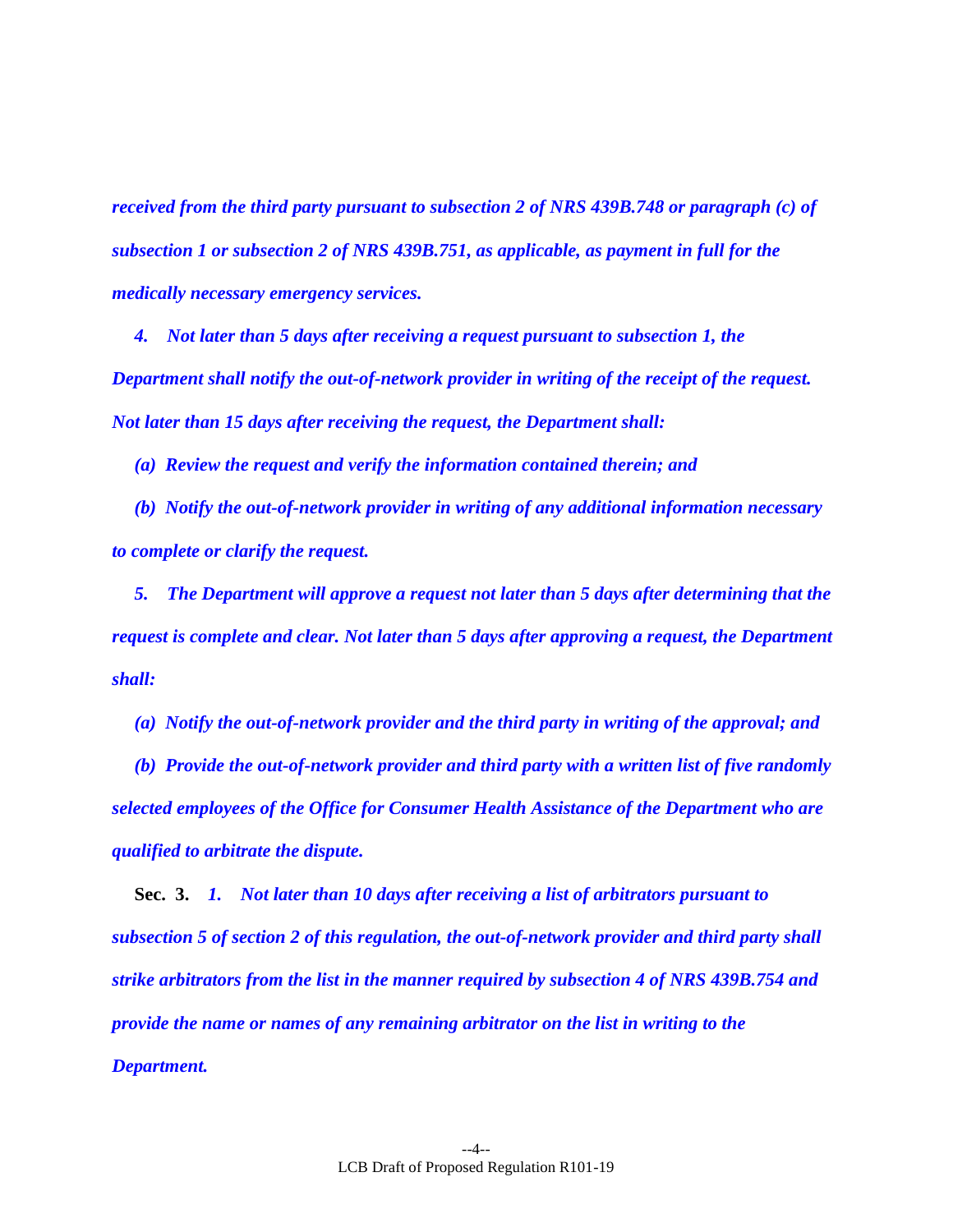*received from the third party pursuant to subsection 2 of NRS 439B.748 or paragraph (c) of subsection 1 or subsection 2 of NRS 439B.751, as applicable, as payment in full for the medically necessary emergency services.* 

 *4. Not later than 5 days after receiving a request pursuant to subsection 1, the Department shall notify the out-of-network provider in writing of the receipt of the request. Not later than 15 days after receiving the request, the Department shall:* 

 *(a) Review the request and verify the information contained therein; and* 

 *(b) Notify the out-of-network provider in writing of any additional information necessary to complete or clarify the request.*

 *5. The Department will approve a request not later than 5 days after determining that the request is complete and clear. Not later than 5 days after approving a request, the Department shall:* 

 *(a) Notify the out-of-network provider and the third party in writing of the approval; and* 

 *(b) Provide the out-of-network provider and third party with a written list of five randomly selected employees of the Office for Consumer Health Assistance of the Department who are qualified to arbitrate the dispute.* 

<span id="page-3-0"></span>**Sec. 3.** *1. Not later than 10 days after receiving a list of arbitrators pursuant to subsection 5 of section [2](#page-1-1) of this regulation, the out-of-network provider and third party shall strike arbitrators from the list in the manner required by subsection 4 of NRS 439B.754 and provide the name or names of any remaining arbitrator on the list in writing to the Department.*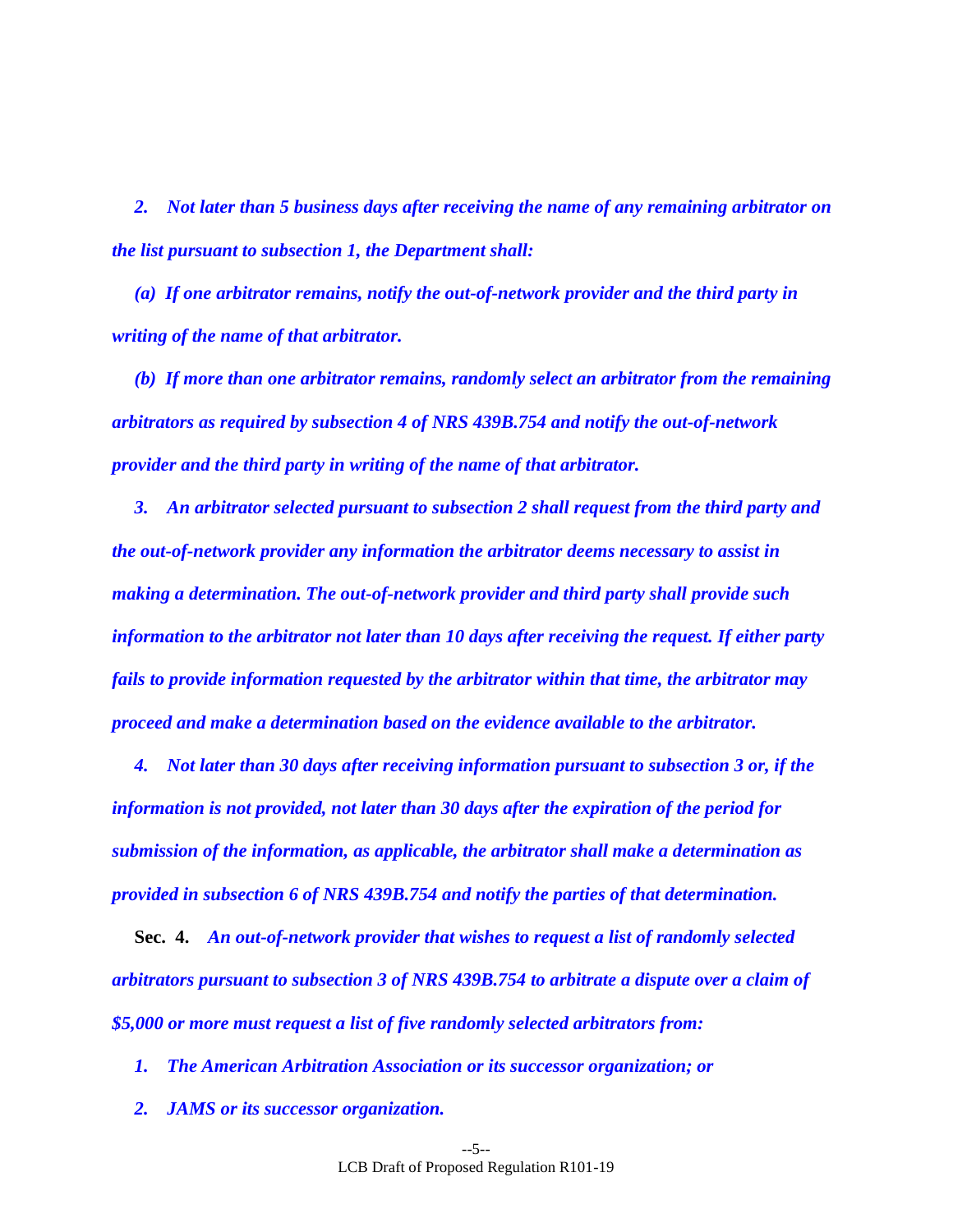*2. Not later than 5 business days after receiving the name of any remaining arbitrator on the list pursuant to subsection 1, the Department shall:* 

 *(a) If one arbitrator remains, notify the out-of-network provider and the third party in writing of the name of that arbitrator.*

 *(b) If more than one arbitrator remains, randomly select an arbitrator from the remaining arbitrators as required by subsection 4 of NRS 439B.754 and notify the out-of-network provider and the third party in writing of the name of that arbitrator.* 

 *3. An arbitrator selected pursuant to subsection 2 shall request from the third party and the out-of-network provider any information the arbitrator deems necessary to assist in making a determination. The out-of-network provider and third party shall provide such information to the arbitrator not later than 10 days after receiving the request. If either party fails to provide information requested by the arbitrator within that time, the arbitrator may proceed and make a determination based on the evidence available to the arbitrator.* 

 *4. Not later than 30 days after receiving information pursuant to subsection 3 or, if the information is not provided, not later than 30 days after the expiration of the period for submission of the information, as applicable, the arbitrator shall make a determination as provided in subsection 6 of NRS 439B.754 and notify the parties of that determination.* 

<span id="page-4-0"></span>**Sec. 4.** *An out-of-network provider that wishes to request a list of randomly selected arbitrators pursuant to subsection 3 of NRS 439B.754 to arbitrate a dispute over a claim of \$5,000 or more must request a list of five randomly selected arbitrators from:* 

 *1. The American Arbitration Association or its successor organization; or* 

 *2. JAMS or its successor organization.*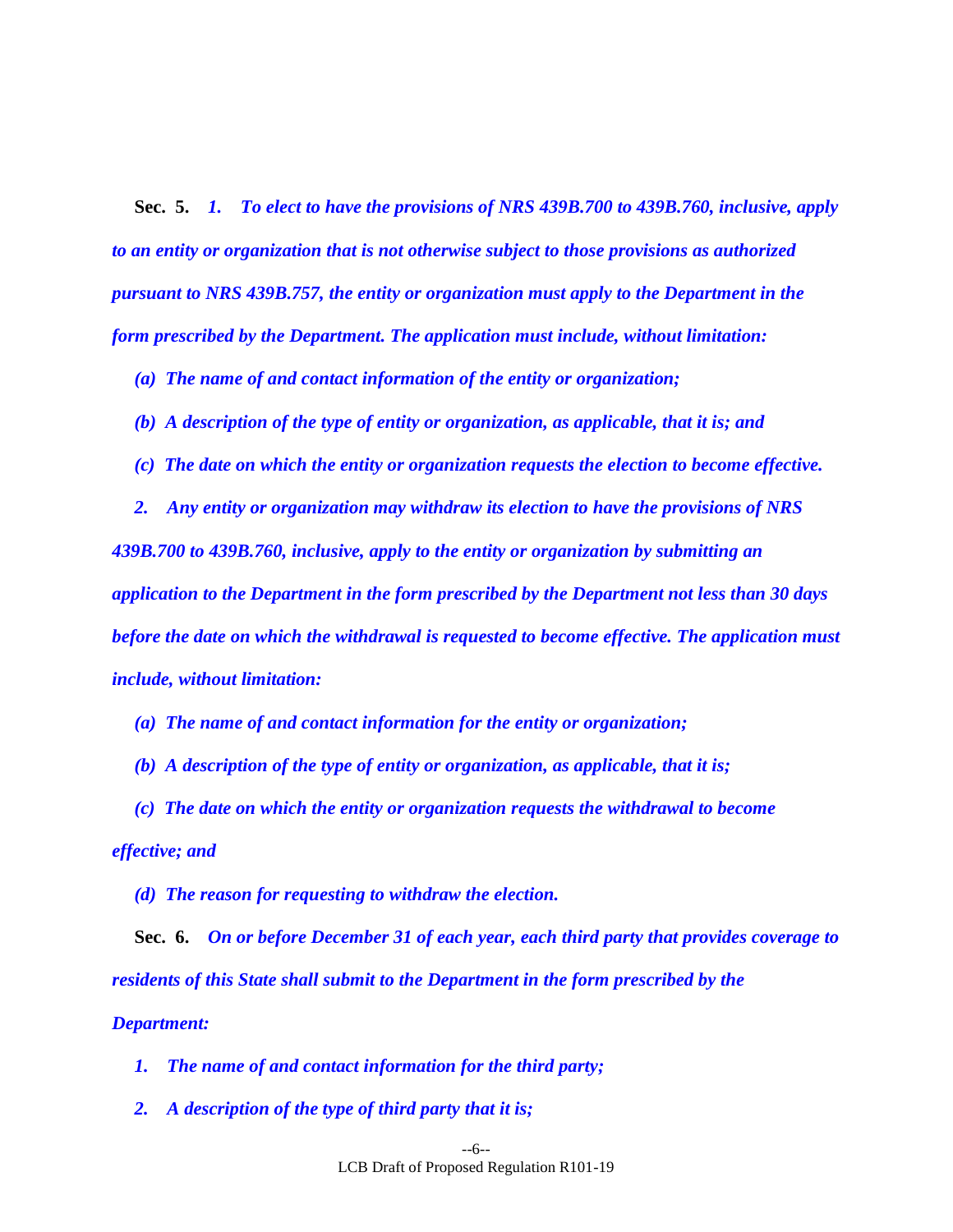<span id="page-5-0"></span>**Sec. 5.** *1. To elect to have the provisions of NRS 439B.700 to 439B.760, inclusive, apply to an entity or organization that is not otherwise subject to those provisions as authorized pursuant to NRS 439B.757, the entity or organization must apply to the Department in the form prescribed by the Department. The application must include, without limitation:* 

 *(a) The name of and contact information of the entity or organization;* 

 *(b) A description of the type of entity or organization, as applicable, that it is; and* 

 *(c) The date on which the entity or organization requests the election to become effective.* 

 *2. Any entity or organization may withdraw its election to have the provisions of NRS 439B.700 to 439B.760, inclusive, apply to the entity or organization by submitting an application to the Department in the form prescribed by the Department not less than 30 days before the date on which the withdrawal is requested to become effective. The application must include, without limitation:* 

 *(a) The name of and contact information for the entity or organization;* 

 *(b) A description of the type of entity or organization, as applicable, that it is;* 

 *(c) The date on which the entity or organization requests the withdrawal to become effective; and* 

<span id="page-5-1"></span> *(d) The reason for requesting to withdraw the election.* 

**Sec. 6.** *On or before December 31 of each year, each third party that provides coverage to residents of this State shall submit to the Department in the form prescribed by the Department:* 

 *1. The name of and contact information for the third party;* 

 *2. A description of the type of third party that it is;*